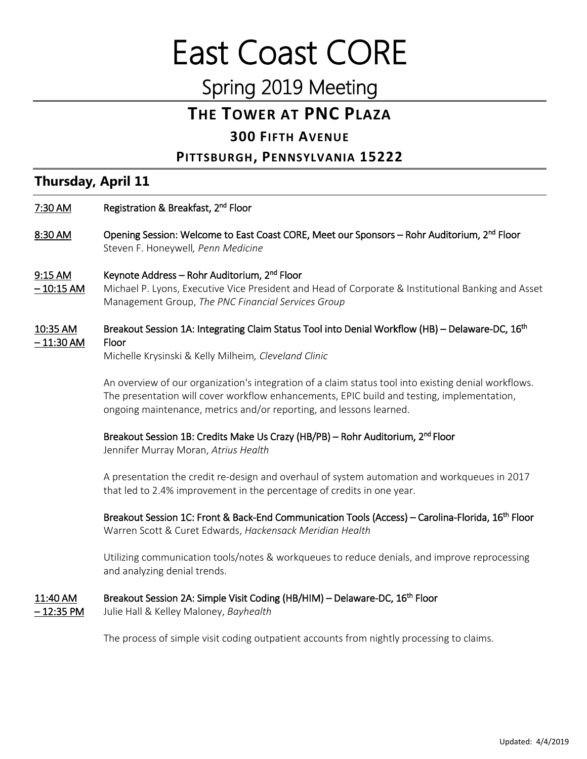# East Coast CORE

# Spring 2019 Meeting

# **THE TOWER AT PNC PLAZA**

### **300 FIFTH AVENUE**

#### **PITTSBURGH, PENNSYLVANIA 15222**

# **Thursday, April 11**

- 7:30 AM Registration & Breakfast, 2<sup>nd</sup> Floor
- 8:30 AM Opening Session: Welcome to East Coast CORE, Meet our Sponsors Rohr Auditorium, 2<sup>nd</sup> Floor Steven F. Honeywell*, Penn Medicine*

#### 9:15 AM Keynote Address – Rohr Auditorium, 2<sup>nd</sup> Floor

- 10:15 AM Michael P. Lyons, Executive Vice President and Head of Corporate & Institutional Banking and Asset Management Group, *The PNC Financial Services Group*
- 10:35 AM Breakout Session 1A: Integrating Claim Status Tool into Denial Workflow (HB) Delaware-DC, 16<sup>th</sup> – 11:30 AM Floor

Michelle Krysinski & Kelly Milheim*, Cleveland Clinic* 

An overview of our organization's integration of a claim status tool into existing denial workflows. The presentation will cover workflow enhancements, EPIC build and testing, implementation, ongoing maintenance, metrics and/or reporting, and lessons learned.

#### Breakout Session 1B: Credits Make Us Crazy (HB/PB) – Rohr Auditorium, 2<sup>nd</sup> Floor

Jennifer Murray Moran, *Atrius Health*

A presentation the credit re-design and overhaul of system automation and workqueues in 2017 that led to 2.4% improvement in the percentage of credits in one year.

Breakout Session 1C: Front & Back-End Communication Tools (Access) – Carolina-Florida, 16<sup>th</sup> Floor Warren Scott & Curet Edwards, *Hackensack Meridian Health*

Utilizing communication tools/notes & workqueues to reduce denials, and improve reprocessing and analyzing denial trends.

#### 11:40 AM Breakout Session 2A: Simple Visit Coding (HB/HIM) – Delaware-DC, 16<sup>th</sup> Floor

– 12:35 PM Julie Hall & Kelley Maloney, *Bayhealth*

The process of simple visit coding outpatient accounts from nightly processing to claims.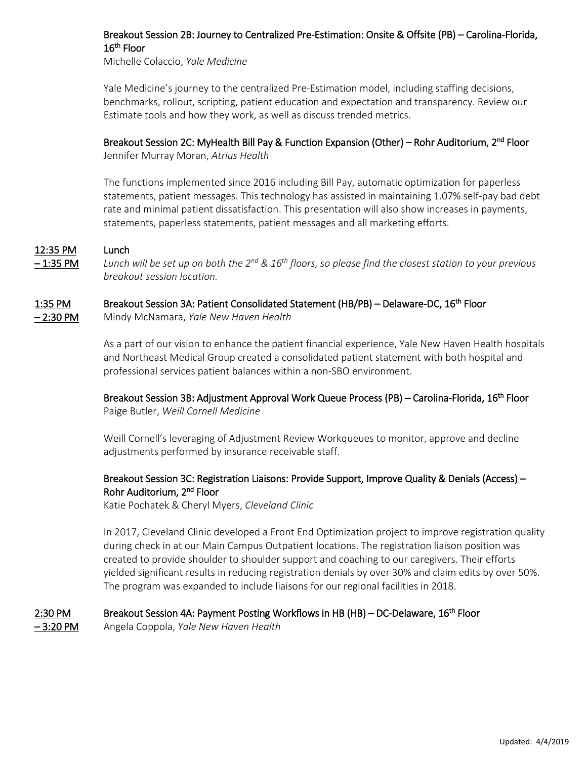#### Breakout Session 2B: Journey to Centralized Pre-Estimation: Onsite & Offsite (PB) – Carolina-Florida, 16<sup>th</sup> Floor

Michelle Colaccio, *Yale Medicine*

Yale Medicine's journey to the centralized Pre-Estimation model, including staffing decisions, benchmarks, rollout, scripting, patient education and expectation and transparency. Review our Estimate tools and how they work, as well as discuss trended metrics.

#### Breakout Session 2C: MyHealth Bill Pay & Function Expansion (Other) – Rohr Auditorium, 2<sup>nd</sup> Floor

Jennifer Murray Moran, *Atrius Health*

The functions implemented since 2016 including Bill Pay, automatic optimization for paperless statements, patient messages. This technology has assisted in maintaining 1.07% self-pay bad debt rate and minimal patient dissatisfaction. This presentation will also show increases in payments, statements, paperless statements, patient messages and all marketing efforts.

#### 12:35 PM Lunch

– 1:35 PM *Lunch will be set up on both the 2nd & 16th floors, so please find the closest station to your previous breakout session location.*

#### 1:35 PM Breakout Session 3A: Patient Consolidated Statement (HB/PB) – Delaware-DC, 16<sup>th</sup> Floor

– 2:30 PM Mindy McNamara, *Yale New Haven Health*

As a part of our vision to enhance the patient financial experience, Yale New Haven Health hospitals and Northeast Medical Group created a consolidated patient statement with both hospital and professional services patient balances within a non-SBO environment.

#### Breakout Session 3B: Adjustment Approval Work Queue Process (PB) – Carolina-Florida, 16<sup>th</sup> Floor Paige Butler, *Weill Cornell Medicine*

Weill Cornell's leveraging of Adjustment Review Workqueues to monitor, approve and decline adjustments performed by insurance receivable staff.

#### Breakout Session 3C: Registration Liaisons: Provide Support, Improve Quality & Denials (Access) – Rohr Auditorium, 2<sup>nd</sup> Floor

Katie Pochatek & Cheryl Myers, *Cleveland Clinic*

In 2017, Cleveland Clinic developed a Front End Optimization project to improve registration quality during check in at our Main Campus Outpatient locations. The registration liaison position was created to provide shoulder to shoulder support and coaching to our caregivers. Their efforts yielded significant results in reducing registration denials by over 30% and claim edits by over 50%. The program was expanded to include liaisons for our regional facilities in 2018.

#### 2:30 PM Breakout Session 4A: Payment Posting Workflows in HB (HB) – DC-Delaware, 16<sup>th</sup> Floor

– 3:20 PM Angela Coppola, *Yale New Haven Health*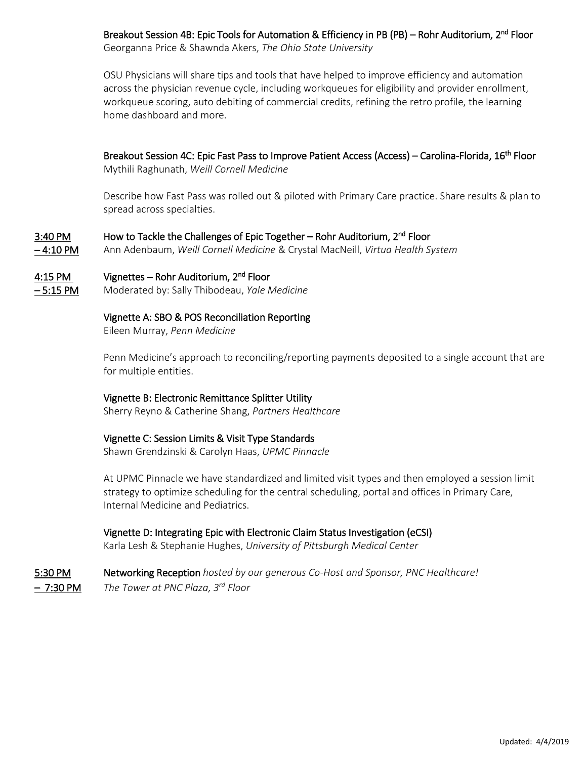Breakout Session 4B: Epic Tools for Automation & Efficiency in PB (PB) – Rohr Auditorium, 2<sup>nd</sup> Floor

Georganna Price & Shawnda Akers, *The Ohio State University*

OSU Physicians will share tips and tools that have helped to improve efficiency and automation across the physician revenue cycle, including workqueues for eligibility and provider enrollment, workqueue scoring, auto debiting of commercial credits, refining the retro profile, the learning home dashboard and more.

Breakout Session 4C: Epic Fast Pass to Improve Patient Access (Access) – Carolina-Florida, 16<sup>th</sup> Floor

Mythili Raghunath, *Weill Cornell Medicine*

Describe how Fast Pass was rolled out & piloted with Primary Care practice. Share results & plan to spread across specialties.

#### 3:40 PM How to Tackle the Challenges of Epic Together – Rohr Auditorium, 2<sup>nd</sup> Floor

– 4:10 PM Ann Adenbaum, *Weill Cornell Medicine* & Crystal MacNeill, *Virtua Health System*

#### 4:15 PM Vignettes – Rohr Auditorium, 2<sup>nd</sup> Floor

– 5:15 PM Moderated by: Sally Thibodeau, *Yale Medicine*

#### Vignette A: SBO & POS Reconciliation Reporting

Eileen Murray, *Penn Medicine*

Penn Medicine's approach to reconciling/reporting payments deposited to a single account that are for multiple entities.

#### Vignette B: Electronic Remittance Splitter Utility

Sherry Reyno & Catherine Shang, *Partners Healthcare*

#### Vignette C: Session Limits & Visit Type Standards

Shawn Grendzinski & Carolyn Haas, *UPMC Pinnacle*

At UPMC Pinnacle we have standardized and limited visit types and then employed a session limit strategy to optimize scheduling for the central scheduling, portal and offices in Primary Care, Internal Medicine and Pediatrics.

#### Vignette D: Integrating Epic with Electronic Claim Status Investigation (eCSI)

Karla Lesh & Stephanie Hughes, *University of Pittsburgh Medical Center*

5:30 PM Networking Reception *hosted by our generous Co-Host and Sponsor, PNC Healthcare!* – 7:30 PM *The Tower at PNC Plaza, 3rd Floor*